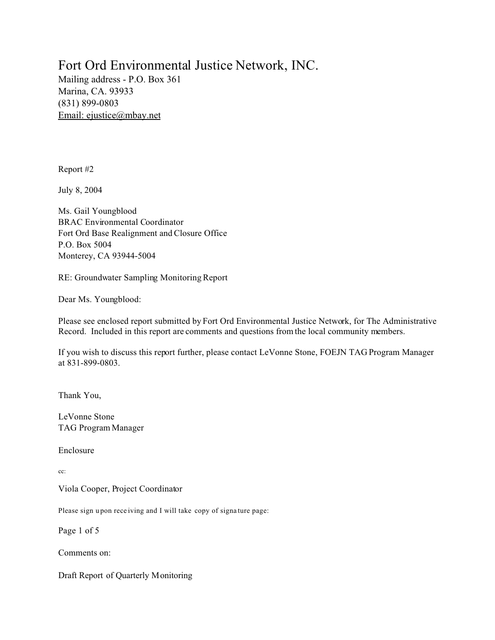# Fort Ord Environmental Justice Network, INC.

Mailing address - P.O. Box 361 Marina, CA. 93933 (831) 899-0803 Email: ejustice@mbay.net

Report #2

July 8, 2004

Ms. Gail Youngblood BRAC Environmental Coordinator Fort Ord Base Realignment and Closure Office P.O. Box 5004 Monterey, CA 93944-5004

RE: Groundwater Sampling Monitoring Report

Dear Ms. Youngblood:

Please see enclosed report submitted by Fort Ord Environmental Justice Network, for The Administrative Record. Included in this report are comments and questions from the local community members.

If you wish to discuss this report further, please contact LeVonne Stone, FOEJN TAG Program Manager at 831-899-0803.

Thank You,

LeVonne Stone TAG Program Manager

Enclosure

cc:

Viola Cooper, Project Coordinator

Please sign u pon rece iving and I will take copy of signa ture page:

Page 1 of 5

Comments on:

Draft Report of Quarterly Monitoring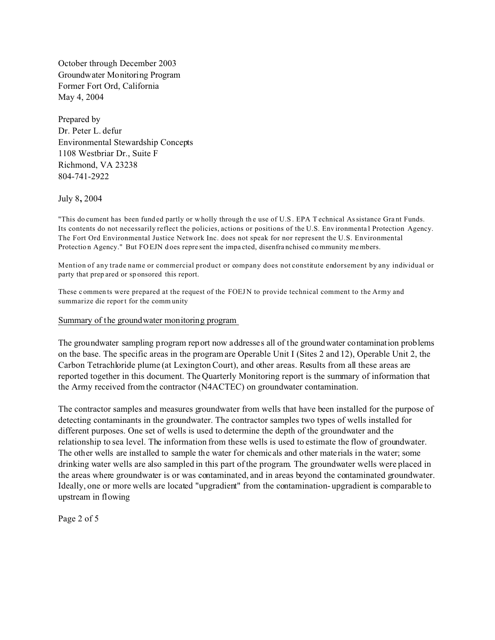October through December 2003 Groundwater Monitoring Program Former Fort Ord, California May 4, 2004

Prepared by Dr. Peter L. defur Environmental Stewardship Concepts 1108 Westbriar Dr., Suite F Richmond, VA 23238 804-741-2922

July 8**,** 2004

"This do cument has been funded partly or wholly through the use of U.S. EPA T echnical Assistance Grant Funds. Its contents do not necessarily reflect the policies, actions or positions of the U.S. Env ironmenta l Protection Agency. The Fort Ord Environmental Justice Network Inc. does not speak for nor represent the U.S. Environmental Protection Agency." But FO EJN does represent the impacted, disenfranchised community members.

Mention of any trade name or commercial product or company does not constitute endorsement by any individual or party that prep ared or sp onsored this report.

These c ommen ts were prepared at the request of the FOEJ N to provide technical comment to the Army and summarize die report for the comm unity

#### Summary of the groundwater monitoring program

The groundwater sampling program report now addresses all of the groundwater contamination problems on the base. The specific areas in the program are Operable Unit I (Sites 2 and 12), Operable Unit 2, the Carbon Tetrachloride plume (at Lexington Court), and other areas. Results from all these areas are reported together in this document. The Quarterly Monitoring report is the summary of information that the Army received from the contractor (N4ACTEC) on groundwater contamination.

The contractor samples and measures groundwater from wells that have been installed for the purpose of detecting contaminants in the groundwater. The contractor samples two types of wells installed for different purposes. One set of wells is used to determine the depth of the groundwater and the relationship to sea level. The information from these wells is used to estimate the flow of groundwater. The other wells are installed to sample the water for chemicals and other materials in the water; some drinking water wells are also sampled in this part of the program. The groundwater wells were placed in the areas where groundwater is or was contaminated, and in areas beyond the contaminated groundwater. Ideally, one or more wells are located "upgradient" from the contamination- upgradient is comparable to upstream in flowing

Page 2 of 5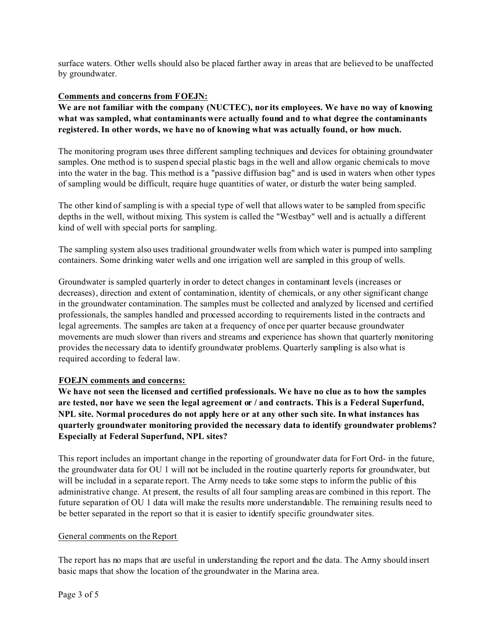surface waters. Other wells should also be placed farther away in areas that are believed to be unaffected by groundwater.

## **Comments and concerns from FOEJN:**

**We are not familiar with the company (NUCTEC), nor its employees. We have no way of knowing what was sampled, what contaminants were actually found and to what degree the contaminants registered. In other words, we have no of knowing what was actually found, or how much.** 

The monitoring program uses three different sampling techniques and devices for obtaining groundwater samples. One method is to suspend special plastic bags in the well and allow organic chemicals to move into the water in the bag. This method is a "passive diffusion bag" and is used in waters when other types of sampling would be difficult, require huge quantities of water, or disturb the water being sampled.

The other kind of sampling is with a special type of well that allows water to be sampled from specific depths in the well, without mixing. This system is called the "Westbay" well and is actually a different kind of well with special ports for sampling.

The sampling system also uses traditional groundwater wells from which water is pumped into sampling containers. Some drinking water wells and one irrigation well are sampled in this group of wells.

Groundwater is sampled quarterly in order to detect changes in contaminant levels (increases or decreases), direction and extent of contamination, identity of chemicals, or any other significant change in the groundwater contamination. The samples must be collected and analyzed by licensed and certified professionals, the samples handled and processed according to requirements listed in the contracts and legal agreements. The samples are taken at a frequency of once per quarter because groundwater movements are much slower than rivers and streams and experience has shown that quarterly monitoring provides the necessary data to identify groundwater problems. Quarterly sampling is also what is required according to federal law.

## **FOEJN comments and concerns:**

**We have not seen the licensed and certified professionals. We have no clue as to how the samples are tested, nor have we seen the legal agreement or / and contracts. This is a Federal Superfund, NPL site. Normal procedures do not apply here or at any other such site. In what instances has quarterly groundwater monitoring provided the necessary data to identify groundwater problems? Especially at Federal Superfund, NPL sites?** 

This report includes an important change in the reporting of groundwater data for Fort Ord- in the future, the groundwater data for OU 1 will not be included in the routine quarterly reports for groundwater, but will be included in a separate report. The Army needs to take some steps to inform the public of this administrative change. At present, the results of all four sampling areas are combined in this report. The future separation of OU 1 data will make the results more understandable. The remaining results need to be better separated in the report so that it is easier to identify specific groundwater sites.

## General comments on the Report

The report has no maps that are useful in understanding the report and the data. The Army should insert basic maps that show the location of the groundwater in the Marina area.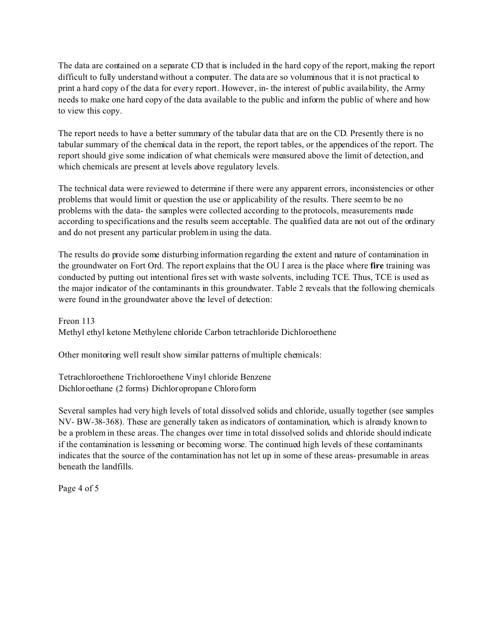The data are contained on a separate CD that is included in the hard copy of the report, making the report difficult to fully understand without a computer. The data are so voluminous that it is not practical to print a hard copy of the data for every report. However, in- the interest of public availability, the Army needs to make one hard copy of the data available to the public and inform the public of where and how to view this copy.

The report needs to have a better summary of the tabular data that are on the CD. Presently there is no tabular summary of the chemical data in the report, the report tables, or the appendices of the report. The report should give some indication of what chemicals were measured above the limit of detection, and which chemicals are present at levels above regulatory levels.

The technical data were reviewed to determine if there were any apparent errors, inconsistencies or other problems that would limit or question the use or applicability of the results. There seem to be no problems with the data- the samples were collected according to the protocols, measurements made according to specifications and the results seem acceptable. The qualified data are not out of the ordinary and do not present any particular problem in using the data.

The results do provide some disturbing information regarding the extent and nature of contamination in the groundwater on Fort Ord. The report explains that the OU I area is the place where **fire** training was conducted by putting out intentional fires set with waste solvents, including TCE. Thus, TCE is used as the major indicator of the contaminants in this groundwater. Table 2 reveals that the following chemicals were found in the groundwater above the level of detection:

Freon 113 Methyl ethyl ketone Methylene chloride Carbon tetrachloride Dichloroethene

Other monitoring well result show similar patterns of multiple chemicals:

Tetrachloroethene Trichloroethene Vinyl chloride Benzene Dichloroethane (2 forms) Dichloropropane Chloroform

Several samples had very high levels of total dissolved solids and chloride, usually together (see samples NV- BW-38-368). These are generally taken as indicators of contamination, which is already known to be a problem in these areas. The changes over time in total dissolved solids and chloride should indicate if the contamination is lessening or becoming worse. The continued high levels of these contaminants indicates that the source of the contamination has not let up in some of these areas- presumable in areas beneath the landfills.

Page 4 of 5